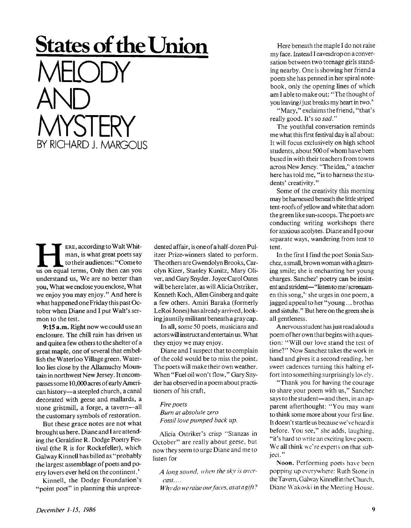**HERE, according to Walt Whitman, is what great poets say to their audiences: "Cometo us on equal terms, Only then can you** ERE , according to Walt Whitman, is what great poets say to their audiences:" Come to understand us, We are no better than you, What we enclose you enclose, What we enjoy you may enjoy. " And here is what happened one Friday this past October when Diane and I put Walt's sermon to the test.

**States of the Union** 

MELODY

**MYSTERY** 

**BY RICHARD J. MARGOLIS** 

AND

**9:15 a.m.** Right now we could use an enclosure. The chill rain has driven us and quite a few others to the shelter of a great maple, one of several that embellish the Waterloo Village green. Waterloo lies close by the Allamuchy Mountain in northwest New Jersey. It encompasses some 10,000 acresof early American history—a steepled church, a canal decorated with geese and mallards, a stone gristmill, a forge, a tavern—all the customary symbols of restoration.

But these grace notes are not what brought us here. Diane and I are attending the Geraldine R. Dodge Poetry Festival (the R is for Rockefeller), which Galway Kinnell has billed as "probably the largest assemblage of poets and poetry lovers ever held on the continent.'

Kinnell, the Dodge Foundation's "point poet" in planning this unprecedented affair, is one of a half-dozen Pulitzer Prize-winners slated to perform. The others are Gwendolyn Brooks, Carolyn Kizer, Stanley Kunitz, Mary Oliver, and Gary Snyder. Joyce Carol Oates will be here later, as will Alicia Ostriker, Kenneth Koch, Allen Ginsberg and quite a few others. Amiri Baraka (formerly LeRoi Jones) has already arrived, looking jauntily militant beneath agray cap.

In all, some 50 poets, musicians and actors will instruct and entertain us. What they enjoy we may enjoy.

Diane and I suspect that to complain of the cold would be to miss the point. The poets will make their own weather. When "Fuel oil won't flow," Gary Snyder has observed in a poem about practitioners of his craft,

## *Fire poets*

*Burn at absolute zero Fossil love pumped back up.* 

Alicia Ostriker's crisp "Stanzas in October" are really about geese, but now they seem to urge Diane and me to listen for

*A long sound, when the sky is overcast. ...* 

*Why do we raise our faces, asatagift?* 

Here beneath the maple I do not raise my face. Instead I eavesdrop on a conversation between two teenage girls standing nearby. One is showing her friend a poem she has penned in her spiral notebook, only the opening lines of which am I able to make out: "The thought of you leaving/just breaks my heart in two.''

"Mary," exclaims the friend, "that's really good. It's so *sad."* 

The youthful conversation reminds me what this first festival day is all about: It will focus exclusively on high school students, about 500 of whom have been bused in with their teachers from towns across New Jersey. "The idea," a teacher here has told me, "is to harness the students' creativity."

Some of the creativity this morning may be harnessed beneath the little striped tent-roofs of yellow and white that adorn the green like sun-scoops. The poets are conducting writing workshops there for anxious acolytes. Diane and I go our separate ways, wandering from tent to tent.

In the first I find the poet Sonia Sanchez, a small, brown woman with a gleaming smile; she is enchanting her young charges. Sanchez' poetry can be insistent and strident—"listen to me/ screeaamen this song,'' she urges in one poem, a jagged appeal to her "young... brothas and sistuhs." But here on the green she is all gentleness.

A nervous student has just read aloud a poem of her own that begins with a question: "Will our love stand the test of time?" Now Sanchez takes the work in hand and gives it a second reading, her sweet cadences turning this halting effort into something surprisingly lovely.

"Thank you for having the courage to share your poem with us," Sanchez says to the student—and then, in an apparent afterthought: "You may want to think some more about your first line. It doesn't startle us because we've heard it before. You see," she adds, laughing, "it's hard to write an exciting love poem. We all think we're experts on that subject."

Noon. Performing poets have been popping up everywhere: Ruth Stone in the Tavern, Galway Kinnell in the Church, Diane Wakoski in the Meeting House.